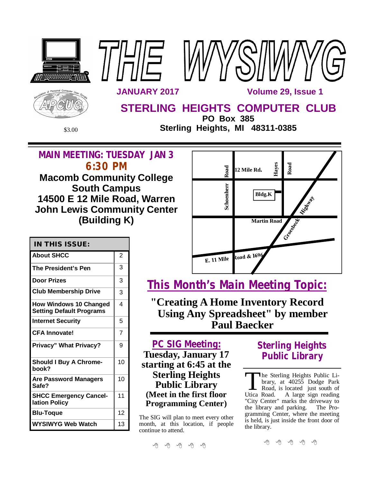

\$3.00 **Sterling Heights, MI 48311-0385**

# **MAIN MEETING: TUESDAY JAN 3 6:30 PM**

**Macomb Community College South Campus 14500 E 12 Mile Road, Warren John Lewis Community Center (Building K)**

| Road       | Hayes<br>12 Mile Rd. | Road                 |
|------------|----------------------|----------------------|
| Schoenherr | <b>Bldg.K</b>        | <b>Mission River</b> |
|            | <b>Martin Road</b>   | Criesdan             |
| E. 11 Mile | Road & 1696          |                      |

| <b>IN THIS ISSUE:</b>                                            |                |
|------------------------------------------------------------------|----------------|
| <b>About SHCC</b>                                                | 2              |
| The President's Pen                                              | 3              |
| <b>Door Prizes</b>                                               | 3              |
| <b>Club Membership Drive</b>                                     | 3              |
| <b>How Windows 10 Changed</b><br><b>Setting Default Programs</b> | 4              |
| <b>Internet Security</b>                                         | 5              |
| <b>CFA Innovate!</b>                                             | $\overline{7}$ |
| <b>Privacy" What Privacy?</b>                                    | 9              |
| <b>Should I Buy A Chrome-</b><br>book?                           | 10             |
| <b>Are Password Managers</b><br>Safe?                            | 10             |
| <b>SHCC Emergency Cancel-</b><br>lation Policy                   | 11             |
| Blu-Toque                                                        | 12             |
| WYSIWYG Web Watch                                                | 13             |

**This Month's Main Meeting Topic:**

**"Creating A Home Inventory Record Using Any Spreadsheet" by member Paul Baecker**

**PC SIG Meeting: Tuesday, January 17 starting at 6:45 at the Sterling Heights Public Library (Meet in the first floor Programming Center)**

The SIG will plan to meet every other month, at this location, if people continue to attend.

# **Sterling Heights Public Library**

The Sterling Heights Public Library, at 40255 Dodge Park<br>Road, is located just south of<br>Utica Road. A large sign reading he Sterling Heights Public Library, at 40255 Dodge Park Road, is located just south of "City Center" marks the driveway to the library and parking. The Programming Center, where the meeting is held, is just inside the front door of the library.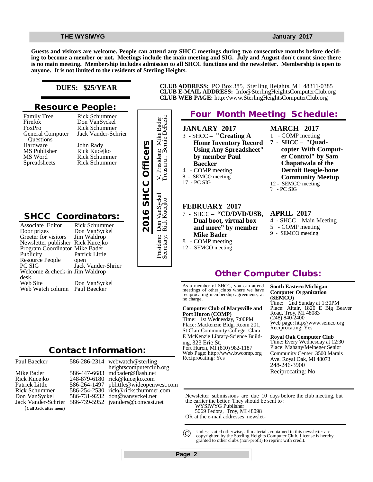**Guests and visitors are welcome. People can attend any SHCC meetings during two consecutive months before deciding to become a member or not. Meetings include the main meeting and SIG. July and August don't count since there is no main meeting. Membership includes admission to all SHCC functions and the newsletter. Membership is open to anyone. It is not limited to the residents of Sterling Heights.**

### **DUES: \$25/YEAR**

### **Resource People:**

Family Tree Firefox FoxPro General Computer Questions Hardware MS Publisher MS Word Spreadsheets

Rick Schummer Jack Vander-Schrier John Rady Rick Kucejko Rick Schummer Rick Schummer

Rick Schummer Don VanSyckel

## **SHCC Coordinators:**

| Hardware<br>MS Publisher<br>MS Word<br>Spreadsheets                                                                                                                                                                                                                              | John Rady<br>Rick Kucejko<br><b>Rick Schummer</b><br><b>Rick Schummer</b>                                                      | 2016 SHCC Officers |
|----------------------------------------------------------------------------------------------------------------------------------------------------------------------------------------------------------------------------------------------------------------------------------|--------------------------------------------------------------------------------------------------------------------------------|--------------------|
| <b>SHCC Coordinators:</b><br>Associate Editor<br>Door prizes<br>Greeter for visitors<br>Newsletter publisher Rick Kucejko<br>Program Coordinator Mike Bader<br>Publicity<br>Resource People<br>PC SIG<br>Welcome & check-in Jim Waldrop<br>desk.<br>Web Site<br>Web Watch column | Rick Schummer<br>Don VanSyckel<br>Jim Waldrop<br>Patrick Little<br>open<br>Jack Vander-Shrier<br>Don VanSyckel<br>Paul Baecker |                    |
|                                                                                                                                                                                                                                                                                  | <b>Contact Information:</b>                                                                                                    |                    |

Paul Baecker

### 586-286-2314

Mike Bader Rick Kucejko Patrick Little Rick Schummer Don VanSyckel Jack Vander-Schrier (**Call Jack after noon)**



**CLUB ADDRESS:** PO Box 385, Sterling Heights, MI 48311-0385 **CLUB E-MAIL ADDRESS:** [Info@SterlingHeightsComputerClub.org](mailto:Info@SterlingHeightsComputerClub.org) **CLUB WEB PAGE:** <http://www.SterlingHeightsComputerClub.org>

## **Four Month Meeting Schedule:**

- **JANUARY 2017** 3 - SHCC – **"Creating A Home Inventory Record Using Any Spreadsheet" by member Paul Baecker** 4 - COMP meeting
- 8 SEMCO meeting
- 17 PC SIG

President: Don VanSyckel V. President: Mike Bader Secretary: Rick Kucejko Treasurer: Bernie DeFazio

Don VanSyckel<br>Rick Kucejko

President: I<br>Secretary: I

V. Presiden<br>Treasurer: 1

Bernie DeFazio

President: Mike Bader

#### **FEBRUARY 2017** 7 - SHCC – **"CD/DVD/USB,**

- **Dual boot, virtual box and more" by member Mike Bader** 8 - COMP meeting
- 12 SEMCO meeting
- **MARCH 2017** 1 - COMP meeting
- **7 SHCC "Quadcopter With Computer Control" by Sam Chapatwala of the Detroit Beagle-bone Community Meetup**
- 12 SEMCO meeting
- ? PC SIG

#### **APRIL 2017**

- 4 SHCC—Main Meeting
- 5 COMP meeting
- 9 SEMCO meeting

## **Other Computer Clubs:**

As a member of SHCC, you can attend meetings of other clubs where we have reciprocating membership agreements, at no charge.

#### **Computer Club of Marysville and Port Huron (COMP)**

Time: 1st Wednesday, 7:00PM Place: Mackenzie Bldg, Room 201, St Clair Community College, Clara E McKenzie Library-Science Building, 323 Erie St. Port Huron, MI (810) 982-1187 Web Page:<http://www.bwcomp.org> Reciprocating: Yes

#### **South Eastern Michigan Computer Organization (SEMCO)**

Time: 2nd Sunday at 1:30PM Place: Altair, 1820 E Big Beaver Road, Troy, MI 48083 (248) 840-2400 Web page: <http://www.semco.org> Reciprocating: Yes

#### **Royal Oak Computer Club**

Time: Every Wednesday at 12:30 Place: Mahany/Meineger Senior Community Center 3500 Marais Ave. Royal Oak, MI 48073 248-246-3900 Reciprocating: No

Newsletter submissions are due 10 days before the club meeting, but the earlier the better. They should be sent to :

- WYSIWYG Publisher
- 5069 Fedora, Troy, MI 48098
- OR at the e-mail addresses: newslet-

Unless stated otherwise, all materials contained in this newsletter are copyrighted by the Sterling Heights Computer Club. License is hereby granted to other clubs (non-profit) to reprint with credit.  $\odot$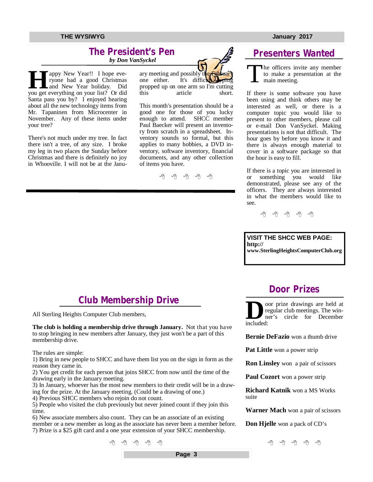### **The President's Pen**   *by Don VanSyckel*

**Hermannish Conserverything on your list?** Or did you get everything on your list? Or did appy New Year!! I hope everyone had a good Christmas and New Year holiday. Did Santa pass you by? I enjoyed hearing about all the new technology items from Mr. Tapaninen from Microcenter in November. Any of these items under your tree?

There's not much under my tree. In fact there isn't a tree, of any size. I broke my leg in two places the Sunday before Christmas and there is definitely no joy in Whooville. I will not be at the January meeting and possibly t one either. It's difficult typing propped up on one arm so I'm cutting<br>this article short. article

This month's presentation should be a good one for those of you lucky enough to attend. SHCC member Paul Baecker will present an inventory from scratch in a spreadsheet. Inventory sounds so formal, but this applies to many hobbies, a DVD inventory, software inventory, financial documents, and any other collection of items you have.



## **Presenters Wanted**

T he officers invite any member to make a presentation at the main meeting.

If there is some software you have been using and think others may be interested as well, or there is a computer topic you would like to present to other members, please call or e-mail Don VanSyckel. Making presentations is not that difficult. The hour goes by before you know it and there is always enough material to cover in a software package so that the hour is easy to fill.

If there is a topic you are interested in or something you would like demonstrated, please see any of the officers. They are always interested in what the members would like to see.

9 9 9 9 9

### **VISIT THE SHCC WEB PAGE: <http://> [www.SterlingHeightsComputerClub.org](http://www.SterlingHeightsComputerClub.org)**

**Door Prizes** 

oor prize drawings are held at regular club meetings. The win-

## **Club Membership Drive**

All Sterling Heights Computer Club members,

**The club is holding a membership drive through January.** Not that you have to stop bringing in new members after January, they just won't be a part of this membership drive.

The rules are simple:

1) Bring in new people to SHCC and have them list you on the sign in form as the reason they came in.

2) You get credit for each person that joins SHCC from now until the time of the drawing early in the January meeting.

3) In January, whoever has the most new members to their credit will be in a drawing for the prize. At the January meeting. (Could be a drawing of one.)

4) Previous SHCC members who rejoin do not count.

5) People who visited the club previously but never joined count if they join this time.

6) New associate members also count. They can be an associate of an existing member or a new member as long as the associate has never been a member before. 7) Prize is a \$25 gift card and a one year extension of your SHCC membership.

# **D** included: ner's circle for December

**Bernie DeFazio** won a thumb drive

**Pat Little** won a power strip

**Ron Linsley** won a pair of scissors

**Paul Cozort** won a power strip

**Richard Katnik** won a MS Works suite

**Warner Mach** won a pair of scissors

**Don Hjelle** won a pack of CD's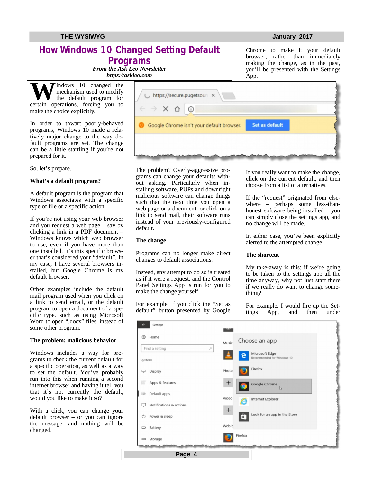## **How Windows 10 Changed Setting Default Programs**

Chrome to make it your default browser, rather than immediately making the change, as in the past, you'll be presented with the Settings

*From the Ask Leo Newsletter <https://askleo.com>*

**W**indows 10 changed the mechanism used to modify the default program for certain operations, forcing you to mechanism used to modify the default program for make the choice explicitly.

In order to thwart poorly-behaved programs, Windows 10 made a relatively major change to the way default programs are set. The change can be a little startling if you're not prepared for it.

So, let's prepare.

#### **What's a default program?**

A default program is the program that Windows associates with a specific type of file or a specific action.

If you're not using your web browser and you request a web page – say by clicking a link in a PDF document – Windows knows which web browser to use, even if you have more than one installed. It's this specific browser that's considered your "default". In my case, I have several browsers installed, but Google Chrome is my default browser.

Other examples include the default mail program used when you click on a link to send email, or the default program to open a document of a specific type, such as using Microsoft Word to open ".docx" files, instead of some other program.

#### **The problem: malicious behavior**

Windows includes a way for programs to check the current default for a specific operation, as well as a way to set the default. You've probably run into this when running a second internet browser and having it tell you that it's not currently the default, would you like to make it so?

With a click, you can change your default browser – or you can ignore the message, and nothing will be changed.



The problem? Overly-aggressive programs can change your defaults without asking. Particularly when installing software, PUPs and downright malicious software can change things such that the next time you open a web page or a document, or click on a link to send mail, their software runs instead of your previously-configured default.

#### **The change**

Programs can no longer make direct changes to default associations.

Instead, any attempt to do so is treated as if it were a request, and the Control Panel Settings App is run for you to make the change yourself.

For example, if you click the "Set as default" button presented by Google

**Page 4**

If you really want to make the change, click on the current default, and then choose from a list of alternatives.

If the "request" originated from elsewhere – perhaps some less-thanhonest software being installed – you can simply close the settings app, and no change will be made.

In either case, you've been explicitly alerted to the attempted change.

#### **The shortcut**

My take-away is this: if we're going to be taken to the settings app all the time anyway, why not just start there if we really do want to change something?

For example, I would fire up the Set-<br>tings App, and then under tings App,

| Settings                          |                                                                        |
|-----------------------------------|------------------------------------------------------------------------|
| සි<br>Home<br>Find a setting<br>Q | Choose an app<br>Music<br>Microsoft Edge<br>Recommended for Windows 10 |
| System                            |                                                                        |
| Display<br>₽                      | Firefox<br>Photo                                                       |
| Ε<br>Apps & features              | $\pm$<br>Google Chrome<br>D                                            |
| l i5<br>Default apps              | Video<br>Internet Explorer                                             |
| Notifications & actions<br>u      | e                                                                      |
| $\circ$<br>Power & sleep          | $^{+}$<br>Look for an app in the Store<br>$\mathbb{R}$                 |
| Battery<br>▭                      | Web b                                                                  |
| Storage<br>U                      | Firefox                                                                |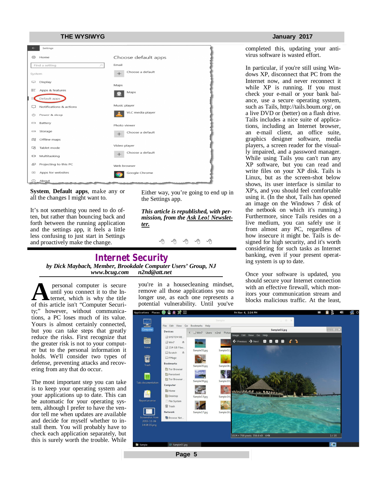| <b>THE WYSIWYG</b>                  |                     |
|-------------------------------------|---------------------|
| Settings<br>$\leftarrow$            |                     |
| Home<br>£63                         | Choose default apps |
| Find a setting<br>$\mathcal{L}$     | Email               |
| System                              | Choose a default    |
| Display<br>▭                        | Maps                |
| 巨<br>Apps & features                | Maps                |
| Default apps<br>ж                   |                     |
| Notifications & actions             | Music player        |
| Power & sleep<br>$\circ$            | VLC media player    |
| Battery<br>$\qquad \qquad$          | Photo viewer        |
| Storage<br>$\overline{\phantom{0}}$ | Choose a default    |
| Offline maps<br>四                   |                     |
| Tablet mode<br>马                    | Video player        |
| Multitasking<br>Ō                   | Choose a default    |
| Projecting to this PC<br>₽          | Web browser         |
| Apps for websites<br>$\Box$         | Google Chrome       |
| $\odot$<br>About                    |                     |

**System**, **Default apps**, make any or all the changes I might want to.

It's not something you need to do often, but rather than bouncing back and forth between the running application and the settings app, it feels a little less confusing to just start in Settings and proactively make the change.

Either way, you're going to end up in the Settings app.

*This article is republished, with permission, from the Ask Leo! Newsletter.* 

平 平 平 平 平

### **Internet Security** *by Dick Maybach, Member, Brookdale Computer Users' Group, NJ [www.bcug.com](http://www.bcug.com) [n2nd@att.net](mailto:n2nd@att.net)*

**its** personal computer is secure you're in a housecleaning mindset, which is why the title in the longer use, as each one represents a of this article isn't "Computer Securi-<br> **A** blocks malicious traffic. At the least, a personal computer is secure until you connect it to the Internet, which is why the title of this article isn't "Computer Security;" however, without communications, a PC loses much of its value. Yours is almost certainly connected, but you can take steps that greatly reduce the risks. First recognize that the greater risk is not to your computer but to the personal information it holds. We'll consider two types of defense, preventing attacks and recovering from any that do occur.

The most important step you can take is to keep your operating system and your applications up to date. This can be automatic for your operating system, although I prefer to have the vendor tell me when updates are available and decide for myself whether to install them. You will probably have to check each application separately, but this is surely worth the trouble. While

you're in a housecleaning mindset, remove all those applications you no longer use, as each one represents a potential vulnerability. Until you've

#### **January 2017**

completed this, updating your antivirus software is wasted effort.

In particular, if you're still using Windows XP, disconnect that PC from the Internet now, and never reconnect it while XP is running. If you must check your e-mail or your bank balance, use a secure operating system, such as Tails,<http://tails.boum.org/,>on a live DVD or (better) on a flash drive. Tails includes a nice suite of applications, including an Internet browser, an e-mail client, an office suite, graphics designer software, media players, a screen reader for the visually impaired, and a password manager. While using Tails you can't run any XP software, but you can read and write files on your XP disk. Tails is Linux, but as the screen-shot below shows, its user interface is similar to XP's, and you should feel comfortable using it. (In the shot, Tails has opened an image on the Windows 7 disk of the netbook on which it's running.) Furthermore, since Tails resides on a live medium, you can safely use it from almost any PC, regardless of how insecure it might be. Tails is designed for high security, and it's worth considering for such tasks as Internet banking, even if your present operating system is up to date.

Once your software is updated, you should secure your Internet connection with an effective firewall, which mon-

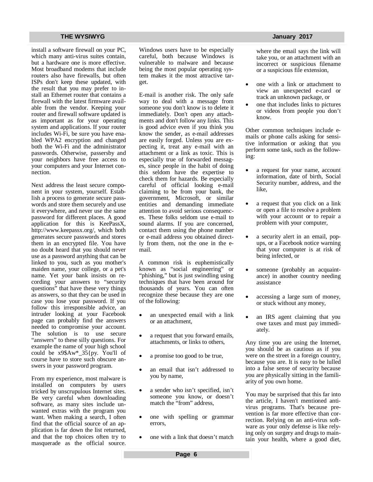install a software firewall on your PC, which many anti-virus suites contain, but a hardware one is more effective. Most broadband modems that include routers also have firewalls, but often ISPs don't keep these updated, with the result that you may prefer to install an Ethernet router that contains a firewall with the latest firmware available from the vendor. Keeping your router and firewall software updated is as important as for your operating system and applications. If your router includes Wi-Fi, be sure you have enabled WPA2 encryption and changed both the Wi-Fi and the administrator passwords. Otherwise, passersby and your neighbors have free access to your computers and your Internet connection.

Next address the least secure component in your system, yourself. Establish a process to generate secure passwords and store them securely and use it everywhere, and never use the same password for different places. A good application for this is KeePassX, <http://www.keepassx.org/,>which both generates secure passwords and stores them in an encrypted file. You have no doubt heard that you should never use as a password anything that can be linked to you, such as you mother's maiden name, your college, or a pet's name. Yet your bank insists on recording your answers to "security questions" that have these very things as answers, so that they can be used in case you lose your password. If you follow this irresponsible advice, an intruder looking at your Facebook page can probably find the answers needed to compromise your account. The solution is to use secure "answers" to these silly questions. For example the name of your high school could be x9\$Aw\*\_35{py. You'll of course have to store such obscure answers in your password program.

From my experience, most malware is installed on computers by users tricked by unscrupulous Internet sites. Be very careful when downloading software, as many sites include unwanted extras with the program you want. When making a search, I often find that the official source of an application is far down the list returned, and that the top choices often try to masquerade as the official source.

Windows users have to be especially careful, both because Windows is vulnerable to malware and because being the most popular operating system makes it the most attractive target.

E-mail is another risk. The only safe way to deal with a message from someone you don't know is to delete it immediately. Don't open any attachments and don't follow any links. This is good advice even if you think you know the sender, as e-mail addresses are easily forged. Unless you are expecting it, treat any e-mail with an attachment or a link as toxic. This is especially true of forwarded messages, since people in the habit of doing this seldom have the expertise to check them for hazards. Be especially careful of official looking e-mail claiming to be from your bank, the government, Microsoft, or similar entities and demanding immediate attention to avoid serious consequences. These folks seldom use e-mail to sound alarms. If you are concerned, contact them using the phone number or e-mail address you obtained directly from them, not the one in the email.

A common risk is euphemistically known as "social engineering" or "phishing," but is just swindling using techniques that have been around for thousands of years. You can often recognize these because they are one of the following:

- an unexpected email with a link or an attachment,
- a request that you forward emails, attachments, or links to others,
- a promise too good to be true,
- an email that isn't addressed to you by name,
- a sender who isn't specified, isn't someone you know, or doesn't match the "from" address,
- one with spelling or grammar errors,
- one with a link that doesn't match

where the email says the link will take you, or an attachment with an incorrect or suspicious filename or a suspicious file extension,

- one with a link or attachment to view an unexpected e-card or track an unknown package, or
- one that includes links to pictures or videos from people you don't know.

Other common techniques include emails or phone calls asking for sensitive information or asking that you perform some task, such as the following:

- a request for your name, account information, date of birth, Social Security number, address, and the like,
- a request that you click on a link or open a file to resolve a problem with your account or to repair a problem with your computer,
- a security alert in an email, popups, or a Facebook notice warning that your computer is at risk of being infected, or
- someone (probably an acquaintance) in another country needing assistance
- accessing a large sum of money, or stuck without any money,
- an IRS agent claiming that you owe taxes and must pay immediately.

Any time you are using the Internet, you should be as cautious as if you were on the street in a foreign country, because you are. It is easy to be lulled into a false sense of security because you are physically sitting in the familiarity of you own home.

You may be surprised that this far into the article, I haven't mentioned antivirus programs. That's because prevention is far more effective than correction. Relying on an anti-virus software as your only defense is like relying only on surgery and drugs to maintain your health, where a good diet,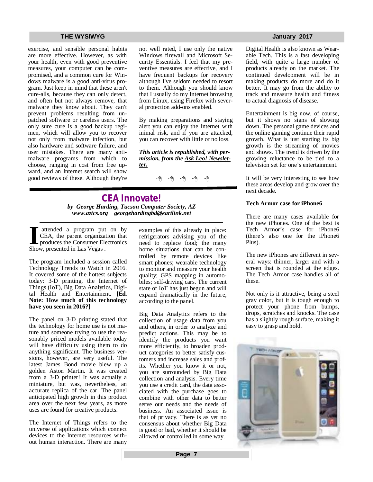#### **THE WYSIWYG AND RESIDENT CONSUMING A STATE OF A STATE OF A STATE OF A STATE OF A STATE OF A STATE OF A STATE OF A STATE OF A STATE OF A STATE OF A STATE OF A STATE OF A STATE OF A STATE OF A STATE OF A STATE OF A STATE OF**

exercise, and sensible personal habits are more effective. However, as with your health, even with good preventive measures, your computer can be compromised, and a common cure for Windows malware is a good anti-virus program. Just keep in mind that these aren't cure-alls, because they can only detect, and often but not always remove, that malware they know about. They can't prevent problems resulting from unpatched software or careless users. The only sure cure is a good backup regimen, which will allow you to recover not only from malware infection, but also hardware and software failure, and user mistakes. There are many antimalware programs from which to choose, ranging in cost from free upward, and an Internet search will show good reviews of these. Although they're not well rated, I use only the native Windows firewall and Microsoft Security Essentials. I feel that my preventive measures are effective, and I have frequent backups for recovery although I've seldom needed to resort to them. Although you should know that I usually do my Internet browsing from Linux, using Firefox with several protection add-ons enabled.

By making preparations and staying alert you can enjoy the Internet with inimal risk, and if you are attacked, you can recover with little or no loss.

*This article is republished, with permission, from the Ask Leo! Newsletter.* 

A A A A A

### **CEA Innovate!** *by George Harding, Tucson Computer Society, AZ [www.aztcs.org](http://www.aztcs.org) [georgehardingbd@eartlink.net](mailto:georgehardingbd@eartlink.net)*

**I I I I ICEA**, the parent organiza<br>
produces the Consumer Ele<br>
Show, presented in Las Vegas . attended a program put on by CEA, the parent organization that produces the Consumer Electronics

The program included a session called Technology Trends to Watch in 2016. It covered some of the hottest subjects today: 3-D printing, the Internet of Things (IoT), Big Data Analytics, Digital Health and Entertainment. **[Ed. Note: How much of this technology have you seen in 2016?]** 

The panel on 3-D printing stated that the technology for home use is not mature and someone trying to use the reasonably priced models available today will have difficulty using them to do anything significant. The business versions, however, are very useful. The latest James Bond movie blew up a golden Aston Martin. It was created from a 3-D printer! It was actually a miniature, but was, nevertheless, an accurate replica of the car. The panel anticipated high growth in this product area over the next few years, as more uses are found for creative products.

The Internet of Things refers to the universe of applications which connect devices to the Internet resources without human interaction. There are many

examples of this already in place: refrigerators advising you of the need to replace food; the many home situations that can be controlled by remote devices like smart phones; wearable technology to monitor and measure your health quality; GPS mapping in automobiles; self-driving cars. The current state of IoT has just begun and will expand dramatically in the future, according to the panel.

Big Data Analytics refers to the collection of usage data from you and others, in order to analyze and predict actions. This may be to identify the products you want more efficiently, to broaden product categories to better satisfy customers and increase sales and profits. Whether you know it or not, you are surrounded by Big Data collection and analysis. Every time you use a credit card, the data associated with the purchase goes to combine with other data to better serve our needs and the needs of business. An associated issue is that of privacy. There is as yet no consensus about whether Big Data is good or bad, whether it should be allowed or controlled in some way.

Digital Health is also known as Wearable Tech. This is a fast developing field, with quite a large number of products already on the market. The continued development will be in making products do more and do it better. It may go from the ability to track and measure health and fitness to actual diagnosis of disease.

Entertainment is big now, of course, but it shows no signs of slowing down. The personal game devices and the online gaming continue their rapid growth. What is just starting its big growth is the streaming of movies and shows. The trend is driven by the growing reluctance to be tied to a television set for one's entertainment.

It will be very interesting to see how these areas develop and grow over the next decade.

#### **Tech Armor case for iPhone6**

There are many cases available for the new iPhones. One of the best is Tech Armor's case for iPhone6 (there's also one for the iPhone6 Plus).

The new iPhones are different in several ways: thinner, larger and with a screen that is rounded at the edges. The Tech Armor case handles all of these.

Not only is it attractive, being a steel gray color, but it is tough enough to protect your phone from bumps, drops, scratches and knocks. The case has a slightly rough surface, making it easy to grasp and hold.

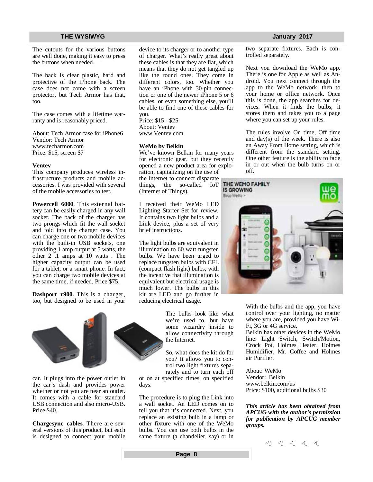The cutouts for the various buttons are well done, making it easy to press the buttons when needed.

The back is clear plastic, hard and protective of the iPhone back. The case does not come with a screen protector, but Tech Armor has that, too.

The case comes with a lifetime warranty and is reasonably priced.

About: Tech Armor case for iPhone6 Vendor: Tech Armor [www.techarmor.com](http://www.techarmor.com) Price: \$15, screen \$7

#### **Ventev**

This company produces wireless infrastructure products and mobile accessories. I was provided with several of the mobile accessories to test.

**Powercell 6000**. This external battery can be easily charged in any wall socket. The back of the charger has two prongs which fit the wall socket and fold into the charger case. You can charge one or two mobile devices with the built-in USB sockets, one providing 1 amp output at 5 watts, the other 2 .1 amps at 10 watts . The higher capacity output can be used for a tablet, or a smart phone. In fact, you can charge two mobile devices at the same time, if needed. Price \$75.

**Dashport r900.** This is a charger, too, but designed to be used in your



car. It plugs into the power outlet in the car's dash and provides power whether or not you are near an outlet. It comes with a cable for standard USB connection and also micro-USB. Price \$40.

**Chargesync cables**. There are several versions of this product, but each is designed to connect your mobile device to its charger or to another type of charger. What's really great about these cables is that they are flat, which means that they do not get tangled up like the round ones. They come in different colors, too. Whether you have an iPhone with 30-pin connection or one of the newer iPhone 5 or 6 cables, or even something else, you'll be able to find one of these cables for you.

Price: \$15 - \$25 About: Ventev [www.Ventev.com](http://www.Ventev.com)

#### **WeMo by Belkin**

We've known Belkin for many years for electronic gear, but they recently opened a new product area for exploration, capitalizing on the use of

the Internet to connect disparate things, the so-called IoT (Internet of Things).

I received their WeMo LED Lighting Starter Set for review. It contains two light bulbs and a Link device, plus a set of very brief instructions.

The light bulbs are equivalent in illumination to 60 watt tungsten bulbs. We have been urged to replace tungsten bulbs with CFL (compact flash light) bulbs, with the incentive that illumination is equivalent but electrical usage is much lower. The bulbs in this kit are LED and go further in reducing electrical usage.

> The bulbs look like what we're used to, but have some wizardry inside to allow connectivity through the Internet.

> So, what does the kit do for you? It allows you to control two light fixtures separately and to turn each off

or on at specified times, on specified days.

The procedure is to plug the Link into a wall socket. An LED comes on to tell you that it's connected. Next, you replace an existing bulb in a lamp or other fixture with one of the WeMo bulbs. You can use both bulbs in the same fixture (a chandelier, say) or in

two separate fixtures. Each is controlled separately.

Next you download the WeMo app. There is one for Apple as well as Android. You next connect through the app to the WeMo network, then to your home or office network. Once this is done, the app searches for devices. When it finds the bulbs, it stores them and takes you to a page where you can set up your rules.

The rules involve On time, Off time and day(s) of the week. There is also an Away From Home setting, which is different from the standard setting. One other feature is the ability to fade in or out when the bulb turns on or off.



With the bulbs and the app, you have control over your lighting, no matter where you are, provided you have Wi-Fi, 3G or 4G service.

Belkin has other devices in the WeMo line: Light Switch, Switch/Motion, Crock Pot, Holmes Heater, Holmes Humidifier, Mr. Coffee and Holmes air Purifier.

About: WeMo Vendor: Belkin [www.belkin.com/us](http://www.belkin.com/us) Price: \$100, additional bulbs \$30

*This article has been obtained from APCUG with the author's permission for publication by APCUG member groups.*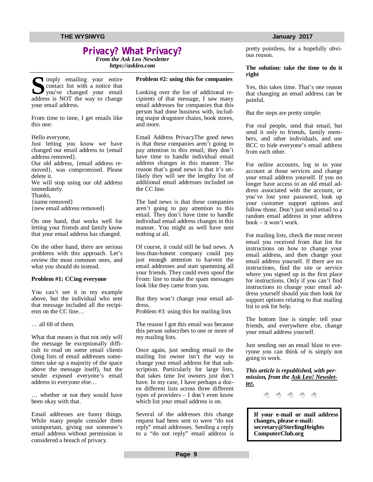## **Privacy? What Privacy?**

*From the Ask Leo Newsletter <https://askleo.com>*

Simply emailing your entire<br>
scontact list with a notice that<br>
you've changed your email<br>
address is NOT the way to change Imply emailing your entire contact list with a notice that you've changed your email your email address.

From time to time, I get emails like this one:

Hello everyone,

Just letting you know we have changed our email address to {email address removed}.

Our old address, {email address removed}, was compromised. Please delete it.

We will stop using our old address immediately.

Thanks,

{name removed}

{new email address removed}

On one hand, that works well for letting your friends and family know that your email address has changed.

On the other hand, there are serious problems with this approach. Let's review the most common ones, and what you should do instead.

#### **Problem #1: CCing everyone**

You can't see it in my example above, but the individual who sent that message included all the recipients on the CC line…

… all 68 of them.

What that means is that not only will the message be exceptionally difficult to read on some email clients (long lists of email addresses sometimes take up a majority of the space above the message itself), but the sender exposed everyone's email address to everyone else…

… whether or not they would have been okay with that.

Email addresses are funny things. While many people consider them unimportant, giving out someone's email address without permission is considered a breach of privacy.

### **Problem #2: using this for companies**

Looking over the list of additional recipients of that message, I saw many email addresses for companies that this person had done business with, including major drugstore chains, book stores, and more.

Email Address PrivacyThe good news is that these companies aren't going to pay attention to this email; they don't have time to handle individual email address changes in this manner. The reason that's good news is that it's unlikely they will see the lengthy list of additional email addresses included on the CC line.

The bad news is that these companies aren't going to pay attention to this email. They don't have time to handle individual email address changes in this manner. You might as well have sent nothing at all.

Of course, it could still be bad news. A less-than-honest company could pay just enough attention to harvest the email addresses and start spamming all your friends. They could even spoof the From: line to make the spam messages look like they came from you.

But they won't change your email address.

Problem #3: using this for mailing lists

The reason I got this email was because this person subscribes to one or more of my mailing lists.

Once again, just sending email to the mailing list owner isn't the way to change your email address for that subscription. Particularly for large lists, that takes time list owners just don't have. In my case, I have perhaps a dozen different lists across three different types of providers – I don't even know which list your email address is on.

Several of the addresses this change request had been sent to were "do not reply" email addresses. Sending a reply to a "do not reply" email address is

pretty pointless, for a hopefully obvious reason.

#### **The solution: take the time to do it right**

Yes, this takes time. That's one reason that changing an email address can be painful.

But the steps are pretty simple:

For real people, send that email, but send it only to friends, family members, and other individuals, and use BCC to hide everyone's email address from each other.

For online accounts, log in to your account at those services and change your email address yourself. If you no longer have access to an old email address associated with the account, or you've lost your password, look up your customer support options and follow those. Don't just send email to a random email address in your address book – it won't work.

For mailing lists, check the most recent email you received from that list for instructions on how to change your email address, and then change your email address yourself. If there are no instructions, find the site or service where you signed up in the first place for instructions. Only if you can't find instructions to change your email address yourself should you then look for support options relating to that mailing list to ask for help.

The bottom line is simple: tell your friends, and everywhere else, change your email address yourself.

Just sending out an email blast to everyone you can think of is simply not going to work.

*This article is republished, with permission, from the Ask Leo! Newsletter.* 

A A A A A

**If your e-mail or mail address changes, please e-mail: secretary@SterlingHeights ComputerClub.org**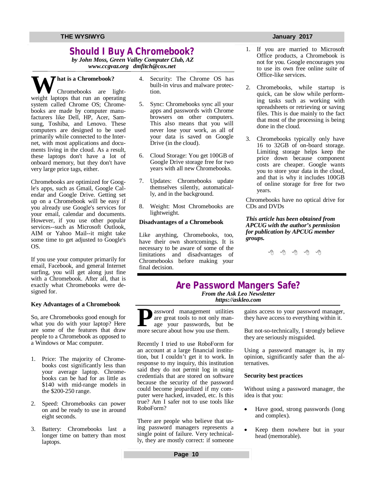## **Should I Buy A Chromebook?**

*by John Moss, Green Valley Computer Club, AZ [www.ccgvaz.org](http://www.ccgvaz.org) [dmfitch@cox.net](mailto:dmfitch@cox.net)*

**W** hat is a Chromebook?<br>
Chromebooks are light-<br>
weight lantons that run an operating weight laptops that run an operating system called Chrome OS; Chromebooks are made by computer manufacturers like Dell, HP, Acer, Samsung, Toshiba, and Lenovo. These computers are designed to be used primarily while connected to the Internet, with most applications and documents living in the cloud. As a result, these laptops don't have a lot of onboard memory, but they don't have very large price tags, either.

Chromebooks are optimized for Google's apps, such as Gmail, Google Calendar and Google Drive. Getting set up on a Chromebook will be easy if you already use Google's services for your email, calendar and documents. However, if you use other popular services--such as Microsoft Outlook, AIM or Yahoo Mail--it might take some time to get adjusted to Google's OS.

If you use your computer primarily for email, Facebook, and general Internet surfing, you will get along just fine with a Chromebook. After all, that is exactly what Chromebooks were designed for.

#### **Key Advantages of a Chromebook**

So, are Chromebooks good enough for what you do with your laptop? Here are some of the features that draw people to a Chromebook as opposed to a Windows or Mac computer.

- 1. Price: The majority of Chromebooks cost significantly less than your average laptop. Chromebooks can be had for as little as \$140 with mid-range models in the \$200-250 range.
- 2. Speed: Chromebooks can power on and be ready to use in around eight seconds.
- 3. Battery: Chromebooks last a longer time on battery than most laptops.
- 4. Security: The Chrome OS has built-in virus and malware protection.
- 5. Sync: Chromebooks sync all your apps and passwords with Chrome browsers on other computers. This also means that you will never lose your work, as all of your data is saved on Google Drive (in the cloud).
- 6. Cloud Storage: You get 100GB of Google Drive storage free for two years with all new Chromebooks.
- 7. Updates: Chromebooks update themselves silently, automatically, and in the background.
- 8. Weight: Most Chromebooks are lightweight.

### **Disadvantages of a Chromebook**

Like anything, Chromebooks, too, have their own shortcomings. It is necessary to be aware of some of the limitations and disadvantages of Chromebooks before making your final decision.

- 1. If you are married to Microsoft Office products, a Chromebook is not for you. Google encourages you to use its own free online suite of Office-like services.
- 2. Chromebooks, while startup is quick, can be slow while performing tasks such as working with spreadsheets or retrieving or saving files. This is due mainly to the fact that most of the processing is being done in the cloud.
- 3. Chromebooks typically only have 16 to 32GB of on-board storage. Limiting storage helps keep the price down because component costs are cheaper. Google wants you to store your data in the cloud, and that is why it includes 100GB of online storage for free for two years.

Chromebooks have no optical drive for CDs and DVDs

#### *This article has been obtained from APCUG with the author's permission for publication by APCUG member groups.*

西 西 西 西

# **Are Password Mangers Safe?**

*From the Ask Leo Newsletter <https://askleo.com>*

**P**assword management utilities<br>
are great tools to not only man<br>
age your passwords, but t<br>
more secure about how you use them. assword management utilities are great tools to not only manage your passwords, but be

Recently I tried to use RoboForm for an account at a large financial institution, but I couldn't get it to work. In response to my inquiry, this institution said they do not permit log in using credentials that are stored on software because the security of the password could become jeopardized if my computer were hacked, invaded, etc. Is this true? Am I safer not to use tools like RoboForm?

There are people who believe that using password managers represents a single point of failure. Very technically, they are mostly correct: if someone

gains access to your password manager, they have access to everything within it.

But not-so-technically, I strongly believe they are seriously misguided.

Using a password manager is, in my opinion, significantly safer than the alternatives.

#### **Security best practices**

Without using a password manager, the idea is that you:

- Have good, strong passwords (long and complex).
- Keep them nowhere but in your head (memorable).

**Page 10**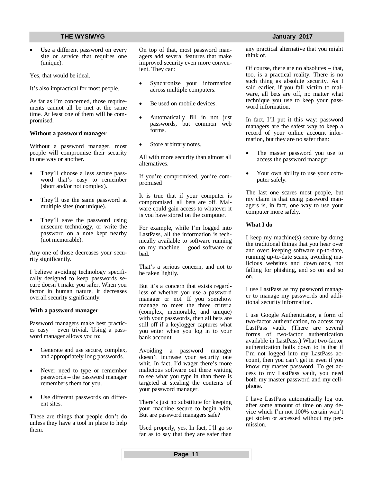Use a different password on every site or service that requires one (unique).

Yes, that would be ideal.

It's also impractical for most people.

As far as I'm concerned, those requirements cannot all be met at the same time. At least one of them will be compromised.

#### **Without a password manager**

Without a password manager, most people will compromise their security in one way or another.

- They'll choose a less secure password that's easy to remember (short and/or not complex).
- They'll use the same password at multiple sites (not unique).
- They'll save the password using unsecure technology, or write the password on a note kept nearby (not memorable).

Any one of those decreases your security significantly.

I believe avoiding technology specifically designed to keep passwords secure doesn't make you safer. When you factor in human nature, it decreases overall security significantly.

#### **With a password manager**

Password managers make best practices easy – even trivial. Using a password manager allows you to:

- Generate and use secure, complex, and appropriately long passwords.
- Never need to type or remember passwords – the password manager remembers them for you.
- Use different passwords on different sites.

These are things that people don't do unless they have a tool in place to help them.

On top of that, most password managers add several features that make improved security even more convenient. They can:

- Synchronize your information across multiple computers.
- Be used on mobile devices.
- Automatically fill in not just passwords, but common web forms.
- Store arbitrary notes.

All with more security than almost all alternatives.

If you're compromised, you're compromised

It is true that if your computer is compromised, all bets are off. Malware could gain access to whatever it is you have stored on the computer.

For example, while I'm logged into LastPass, all the information is technically available to software running on my machine – good software or bad.

That's a serious concern, and not to be taken lightly.

But it's a concern that exists regardless of whether you use a password manager or not. If you somehow manage to meet the three criteria (complex, memorable, and unique) with your passwords, then all bets are still off if a keylogger captures what you enter when you log in to your bank account.

Avoiding a password manager doesn't increase your security one whit. In fact, I'd wager there's more malicious software out there waiting to see what you type in than there is targeted at stealing the contents of your password manager.

There's just no substitute for keeping your machine secure to begin with. But are password managers safe?

Used properly, yes. In fact, I'll go so far as to say that they are safer than any practical alternative that you might think of.

Of course, there are no absolutes – that, too, is a practical reality. There is no such thing as absolute security. As I said earlier, if you fall victim to malware, all bets are off, no matter what technique you use to keep your password information.

In fact, I'll put it this way: password managers are the safest way to keep a record of your online account information, but they are no safer than:

- The master password you use to access the password manager.
- Your own ability to use your computer safely.

The last one scares most people, but my claim is that using password managers is, in fact, one way to use your computer more safely.

### **What I do**

I keep my machine(s) secure by doing the traditional things that you hear over and over: keeping software up-to-date, running up-to-date scans, avoiding malicious websites and downloads, not falling for phishing, and so on and so on.

I use LastPass as my password manager to manage my passwords and additional security information.

I use Google Authenticator, a form of two-factor authentication, to access my LastPass vault. (There are several forms of two-factor authentication available in LastPass.) What two-factor authentication boils down to is that if I'm not logged into my LastPass account, then you can't get in even if you know my master password. To get access to my LastPass vault, you need both my master password and my cellphone.

I have LastPass automatically log out after some amount of time on any device which I'm not 100% certain won't get stolen or accessed without my permission.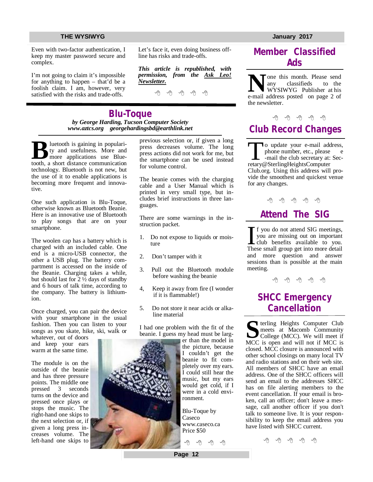Even with two-factor authentication, I keep my master password secure and complex.

I'm not going to claim it's impossible for anything to happen – that'd be a foolish claim. I am, however, very satisfied with the risks and trade-offs.

Let's face it, even doing business offline has risks and trade-offs.

*This article is republished, with permission, from the Ask Leo! Newsletter.* 

A A A A A

**Blu-Toque** *by George Harding, Tucson Computer Society [www.aztcs.org](http://www.aztcs.org) [georgehardingsbd@earthlink.net](mailto:georgehardingsbd@earthlink.net)*

**B**<br>
ty and usefulness. More and<br>
more applications use Blue-<br>
tooth, a short distance communication luetooth is gaining in popularity and usefulness. More and more applications use Bluetechnology. Bluetooth is not new, but the use of it to enable applications is becoming more frequent and innovative.

One such application is Blu-Toque, otherwise known as Bluetooth Beanie. Here is an innovative use of Bluetooth to play songs that are on your smartphone.

The woolen cap has a battery which is charged with an included cable. One end is a micro-USB connector, the other a USB plug. The battery compartment is accessed on the inside of the Beanie. Charging takes a while, but should last for 2 ½ days of standby and 6 hours of talk time, according to the company. The battery is lithiumion.

Once charged, you can pair the device with your smartphone in the usual fashion. Then you can listen to your songs as you skate, hike, ski, walk or

whatever, out of doors and keep your ears warm at the same time.

The module is on the outside of the beanie and has three pressure points. The middle one pressed 3 seconds turns on the device and pressed once plays or stops the music. The right-hand one skips to the next selection or, if given a long press increases volume. The left-hand one skips to previous selection or, if given a long press decreases volume. The long press actions did not work for me, but the smartphone can be used instead for volume control.

The beanie comes with the charging cable and a User Manual which is printed in very small type, but includes brief instructions in three languages.

There are some warnings in the instruction packet.

- 1. Do not expose to liquids or moisture
- 2. Don't tamper with it
- 3. Pull out the Bluetooth module before washing the beanie
- 4, Keep it away from fire (I wonder if it is flammable!)
- 5. Do not store it near acids or alkaline material

I had one problem with the fit of the beanie. I guess my head must be larg-

> er than the model in the picture, because I couldn't get the beanie to fit completely over my ears. I could still hear the music, but my ears would get cold, if I were in a cold environment.

Blu-Toque by Caseco [www.caseco.ca](http://www.caseco.ca) Price \$50

←

## **Member Classified Ads**

**N**one this month. Please send<br>
any classifieds to the<br>
e-mail address posted on page 2 of one this month. Please send<br>any classifieds to the any classifieds WYSIWYG Publisher at his the newsletter.

## $\oplus$   $\oplus$   $\oplus$   $\oplus$

# **Club Record Changes**

To update your e-mail add<br>
phone number, etc., please<br>
-mail the club secretary at:<br>
retary@SterlingHeightsComputer o update your e-mail address, phone number, etc., please e -mail the club secretary at: Sec-Club.org. Using this address will provide the smoothest and quickest venue for any changes.

A A A A A

# **Attend The SIG**

If you do not attend SIG meetings,<br>you are missing out on important<br>club benefits available to you.<br>These small group get into more detail f you do not attend SIG meetings, you are missing out on important club benefits available to you. and more question and answer sessions than is possible at the main meeting.

A A A A A

## **SHCC Emergency Cancellation**

**S** MCC is open and will not if MCC is **T** terling Heights Computer Club meets at Macomb Community College (MCC). We will meet if closed. MCC closure is announced with other school closings on many local TV and radio stations and on their web site. All members of SHCC have an email address. One of the SHCC officers will send an email to the addresses SHCC has on file alerting members to the event cancellation. If your email is broken, call an officer; don't leave a message, call another officer if you don't talk to someone live. It is your responsibility to keep the email address you have listed with SHCC current.



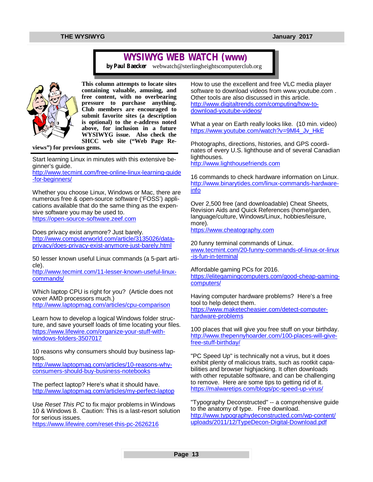## **WYSIWYG WEB WATCH (www)**

*by Paul Baecker* [webwatch@sterlingheightscomputerclub.org](mailto:webwatch@sterlingheightscomputerclub.org)



**This column attempts to locate sites containing valuable, amusing, and free content, with no overbearing pressure to purchase anything. Club members are encouraged to submit favorite sites (a description is optional) to the e-address noted above, for inclusion in a future WYSIWYG issue. Also check the SHCC web site ("Web Page Re-**

**views") for previous gems.** 

Start learning Linux in minutes with this extensive beginner's guide.

<http://www.tecmint.com/free-online-linux-learning-guide> -for-beginners/

Whether you choose Linux, Windows or Mac, there are numerous free & open-source software ('FOSS') applications available that do the same thing as the expensive software you may be used to. <https://open-source-software.zeef.com>

Does privacy exist anymore? Just barely. [http://www.computerworld.com/article/3135026/data](http://www.computerworld.com/article/3135026/data-)privacy/does-privacy-exist-anymore-just-barely.html

50 lesser known useful Linux commands (a 5-part article).

[http://www.tecmint.com/11-lesser-known-useful-linux](http://www.tecmint.com/11-lesser-known-useful-linux-)commands/

Which laptop CPU is right for you? (Article does not cover AMD processors much.) <http://www.laptopmag.com/articles/cpu-comparison>

Learn how to develop a logical Windows folder structure, and save yourself loads of time locating your files. [https://www.lifewire.com/organize-your-stuff-with](https://www.lifewire.com/organize-your-stuff-with-)windows-folders-3507017

10 reasons why consumers should buy business laptops.

[http://www.laptopmag.com/articles/10-reasons-why](http://www.laptopmag.com/articles/10-reasons-why-)consumers-should-buy-business-notebooks

The perfect laptop? Here's what it should have. <http://www.laptopmag.com/articles/my-perfect-laptop>

Use *Reset This PC* to fix major problems in Windows 10 & Windows 8. Caution: This is a last-resort solution for serious issues.

<https://www.lifewire.com/reset-this-pc-2626216>

How to use the excellent and free VLC media player software to download videos from [www.youtube.com](http://www.youtube.com) . Other tools are also discussed in this article. [http://www.digitaltrends.com/computing/how-to](http://www.digitaltrends.com/computing/how-to-)download-youtube-videos/

What a year on Earth really looks like. (10 min. video) [https://www.youtube.com/watch?v=9Ml4\\_Jv\\_HkE](https://www.youtube.com/watch?v=9Ml4_Jv_HkE)

Photographs, directions, histories, and GPS coordinates of every U.S. lighthouse and of several Canadian lighthouses.

<http://www.lighthousefriends.com>

16 commands to check hardware information on Linux. [http://www.binarytides.com/linux-commands-hardware](http://www.binarytides.com/linux-commands-hardware-)info

Over 2,500 free (and downloadable) Cheat Sheets, Revision Aids and Quick References (home/garden, language/culture, Windows/Linux, hobbies/leisure, more).

<https://www.cheatography.com>

20 funny terminal commands of Linux. [www.tecmint.com/20-funny-commands-of-linux-or-linux](http://www.tecmint.com/20-funny-commands-of-linux-or-linux) -is-fun-in-terminal

Affordable gaming PCs for 2016. [https://elitegamingcomputers.com/good-cheap-gaming](https://elitegamingcomputers.com/good-cheap-gaming-)computers/

Having computer hardware problems? Here's a free tool to help detect them. [https://www.maketecheasier.com/detect-computer](https://www.maketecheasier.com/detect-computer-)hardware-problems

100 places that will give you free stuff on your birthday. [http://www.thepennyhoarder.com/100-places-will-give](http://www.thepennyhoarder.com/100-places-will-give-)free-stuff-birthday/

"PC Speed Up" is technically not a virus, but it does exhibit plenty of malicious traits, such as rootkit capabilities and browser highjacking. It often downloads with other reputable software, and can be challenging to remove. Here are some tips to getting rid of it. <https://malwaretips.com/blogs/pc-speed-up-virus/>

"Typography Deconstructed" -- a comprehensive guide to the anatomy of type. Free download. <http://www.typographydeconstructed.com/wp-content/> uploads/2011/12/TypeDecon-Digital-Download.pdf